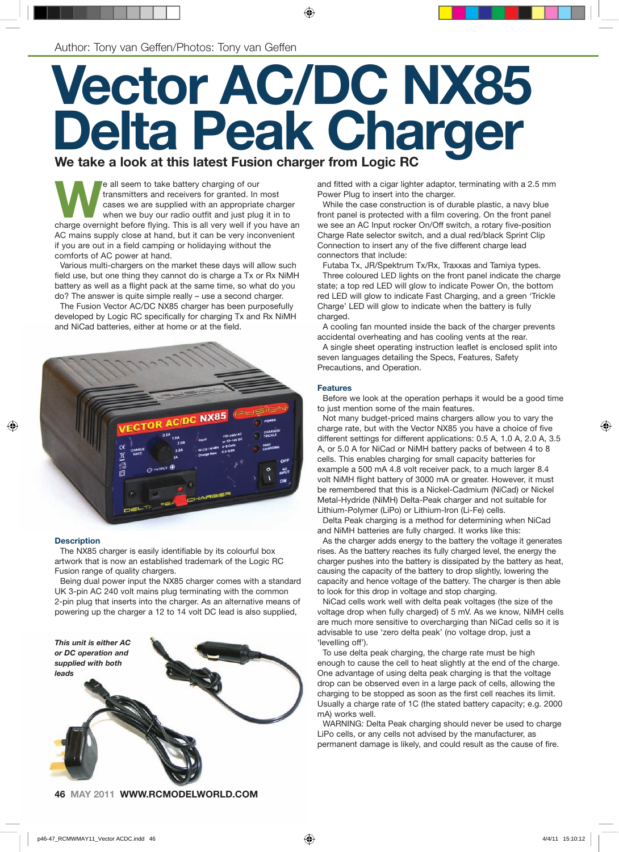# **Vector AC/DC NX85 Delta Peak Charger We take a look at this latest Fusion charger from Logic RC**

**WE all seem to take battery charging of our transmitters and receivers for granted. In most cases we are supplied with an appropriate charger when we buy our radio outfit and just plug it in to charge overnight before fly** transmitters and receivers for granted. In most cases we are supplied with an appropriate charger when we buy our radio outfit and just plug it in to AC mains supply close at hand, but it can be very inconvenient if you are out in a field camping or holidaying without the comforts of AC power at hand.

Various multi-chargers on the market these days will allow such field use, but one thing they cannot do is charge a Tx or Rx NiMH battery as well as a flight pack at the same time, so what do you do? The answer is quite simple really – use a second charger.

The Fusion Vector AC/DC NX85 charger has been purposefully developed by Logic RC specifically for charging Tx and Rx NiMH and NiCad batteries, either at home or at the field.



## **Description**

The NX85 charger is easily identifiable by its colourful box artwork that is now an established trademark of the Logic RC Fusion range of quality chargers.

Being dual power input the NX85 charger comes with a standard UK 3-pin AC 240 volt mains plug terminating with the common 2-pin plug that inserts into the charger. As an alternative means of powering up the charger a 12 to 14 volt DC lead is also supplied,



and fitted with a cigar lighter adaptor, terminating with a 2.5 mm Power Plug to insert into the charger.

While the case construction is of durable plastic, a navy blue front panel is protected with a film covering. On the front panel we see an AC Input rocker On/Off switch, a rotary five-position Charge Rate selector switch, and a dual red/black Sprint Clip Connection to insert any of the five different charge lead connectors that include:

Futaba Tx, JR/Spektrum Tx/Rx, Traxxas and Tamiya types. Three coloured LED lights on the front panel indicate the charge state; a top red LED will glow to indicate Power On, the bottom red LED will glow to indicate Fast Charging, and a green 'Trickle Charge' LED will glow to indicate when the battery is fully charged.

A cooling fan mounted inside the back of the charger prevents accidental overheating and has cooling vents at the rear.

A single sheet operating instruction leaflet is enclosed split into seven languages detailing the Specs, Features, Safety Precautions, and Operation.

#### **Features**

Before we look at the operation perhaps it would be a good time to just mention some of the main features.

Not many budget-priced mains chargers allow you to vary the charge rate, but with the Vector NX85 you have a choice of five different settings for different applications: 0.5 A, 1.0 A, 2.0 A, 3.5 A, or 5.0 A for NiCad or NiMH battery packs of between 4 to 8 cells. This enables charging for small capacity batteries for example a 500 mA 4.8 volt receiver pack, to a much larger 8.4 volt NiMH flight battery of 3000 mA or greater. However, it must be remembered that this is a Nickel-Cadmium (NiCad) or Nickel Metal-Hydride (NiMH) Delta-Peak charger and not suitable for Lithium-Polymer (LiPo) or Lithium-Iron (Li-Fe) cells.

Delta Peak charging is a method for determining when NiCad and NiMH batteries are fully charged. It works like this:

As the charger adds energy to the battery the voltage it generates rises. As the battery reaches its fully charged level, the energy the charger pushes into the battery is dissipated by the battery as heat, causing the capacity of the battery to drop slightly, lowering the capacity and hence voltage of the battery. The charger is then able to look for this drop in voltage and stop charging.

NiCad cells work well with delta peak voltages (the size of the voltage drop when fully charged) of 5 mV. As we know, NiMH cells are much more sensitive to overcharging than NiCad cells so it is advisable to use 'zero delta peak' (no voltage drop, just a 'levelling off').

To use delta peak charging, the charge rate must be high enough to cause the cell to heat slightly at the end of the charge. One advantage of using delta peak charging is that the voltage drop can be observed even in a large pack of cells, allowing the charging to be stopped as soon as the first cell reaches its limit. Usually a charge rate of 1C (the stated battery capacity; e.g. 2000 mA) works well.

WARNING: Delta Peak charging should never be used to charge LiPo cells, or any cells not advised by the manufacturer, as permanent damage is likely, and could result as the cause of fire.